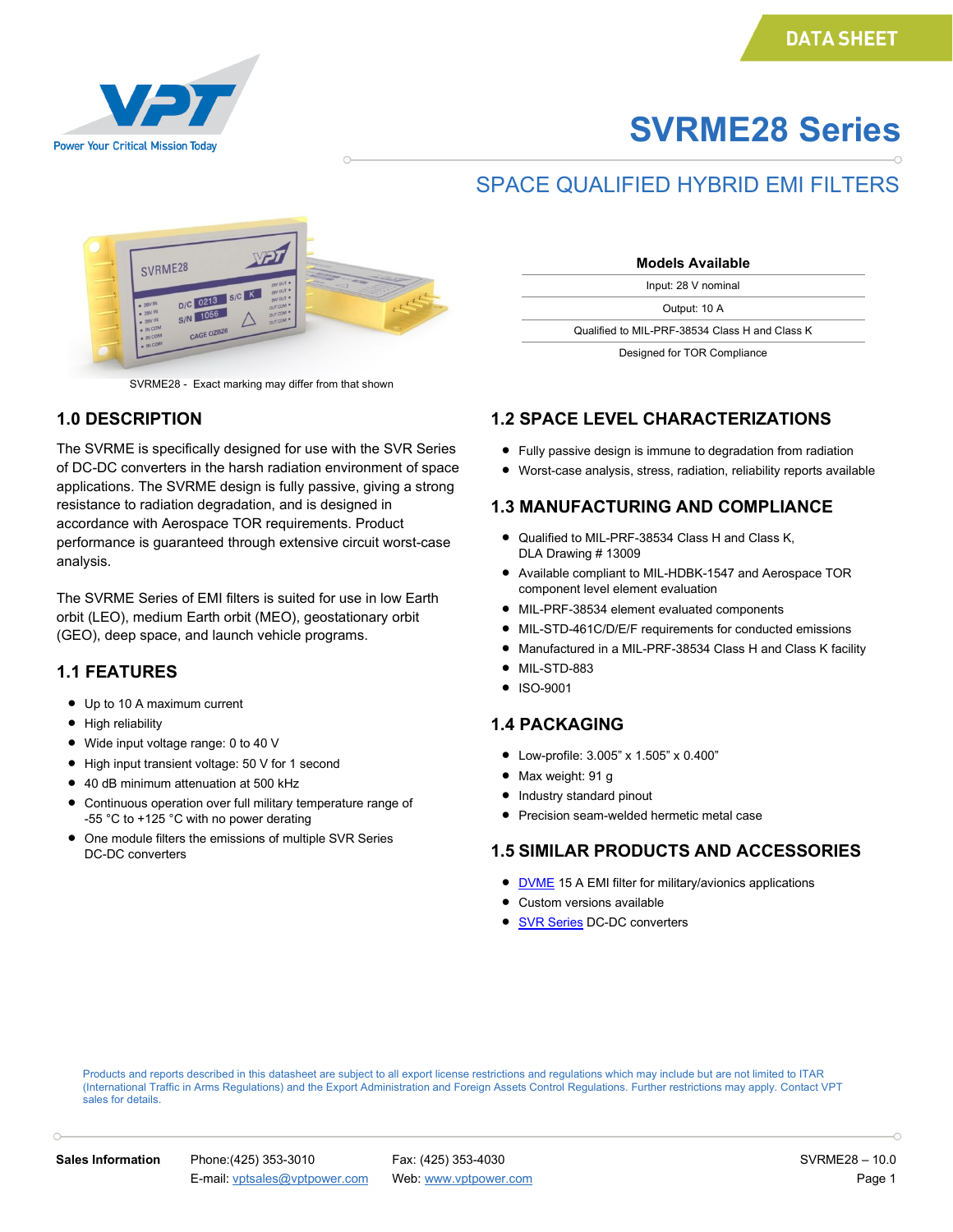

# **SVRME28 Series**

### SPACE QUALIFIED HYBRID EMI FILTERS



SVRME28 - Exact marking may differ from that shown

#### **1.0 DESCRIPTION**

The SVRME is specifically designed for use with the SVR Series of DC-DC converters in the harsh radiation environment of space applications. The SVRME design is fully passive, giving a strong resistance to radiation degradation, and is designed in accordance with Aerospace TOR requirements. Product performance is guaranteed through extensive circuit worst-case analysis.

The SVRME Series of EMI filters is suited for use in low Earth orbit (LEO), medium Earth orbit (MEO), geostationary orbit (GEO), deep space, and launch vehicle programs.

#### **1.1 FEATURES**

- Up to 10 A maximum current
- High reliability
- Wide input voltage range: 0 to 40 V
- High input transient voltage: 50 V for 1 second
- 40 dB minimum attenuation at 500 kHz
- Continuous operation over full military temperature range of -55 °C to +125 °C with no power derating
- One module filters the emissions of multiple SVR Series DC-DC converters

| <b>Models Available</b>                        |  |
|------------------------------------------------|--|
| Input: 28 V nominal                            |  |
| Output: 10 A                                   |  |
| Qualified to MIL-PRF-38534 Class H and Class K |  |
| Designed for TOR Compliance                    |  |

## **1.2 SPACE LEVEL CHARACTERIZATIONS**

- 
- Fully passive design is immune to degradation from radiation
- Worst-case analysis, stress, radiation, reliability reports available

#### **1.3 MANUFACTURING AND COMPLIANCE**

- Qualified to MIL-PRF-38534 Class H and Class K, DLA Drawing # 13009
- Available compliant to MIL-HDBK-1547 and Aerospace TOR component level element evaluation
- MIL-PRF-38534 element evaluated components
- MIL-STD-461C/D/E/F requirements for conducted emissions
- Manufactured in a MIL-PRF-38534 Class H and Class K facility
- MIL-STD-883
- ISO-9001

#### **1.4 PACKAGING**

- Low-profile: 3.005" x 1.505" x 0.400"
- Max weight: 91 g
- Industry standard pinout
- Precision seam-welded hermetic metal case

#### **1.5 SIMILAR PRODUCTS AND ACCESSORIES**

- **[DVME](http://www.vptpower.com/vpt-products/front-end-modules-accessories/dvme28-emi-filter/#.UW6pDqLCZ8F)** 15 A EMI filter for military/avionics applications
- Custom versions available
- **[SVR Series](http://www.vptpower.com/vpt-products/space-grade-dc-dc-converters/#.UW_0_KLCZ8F) DC-DC converters**

Products and reports described in this datasheet are subject to all export license restrictions and regulations which may include but are not limited to ITAR (International Traffic in Arms Regulations) and the Export Administration and Foreign Assets Control Regulations. Further restrictions may apply. Contact VPT sales for details.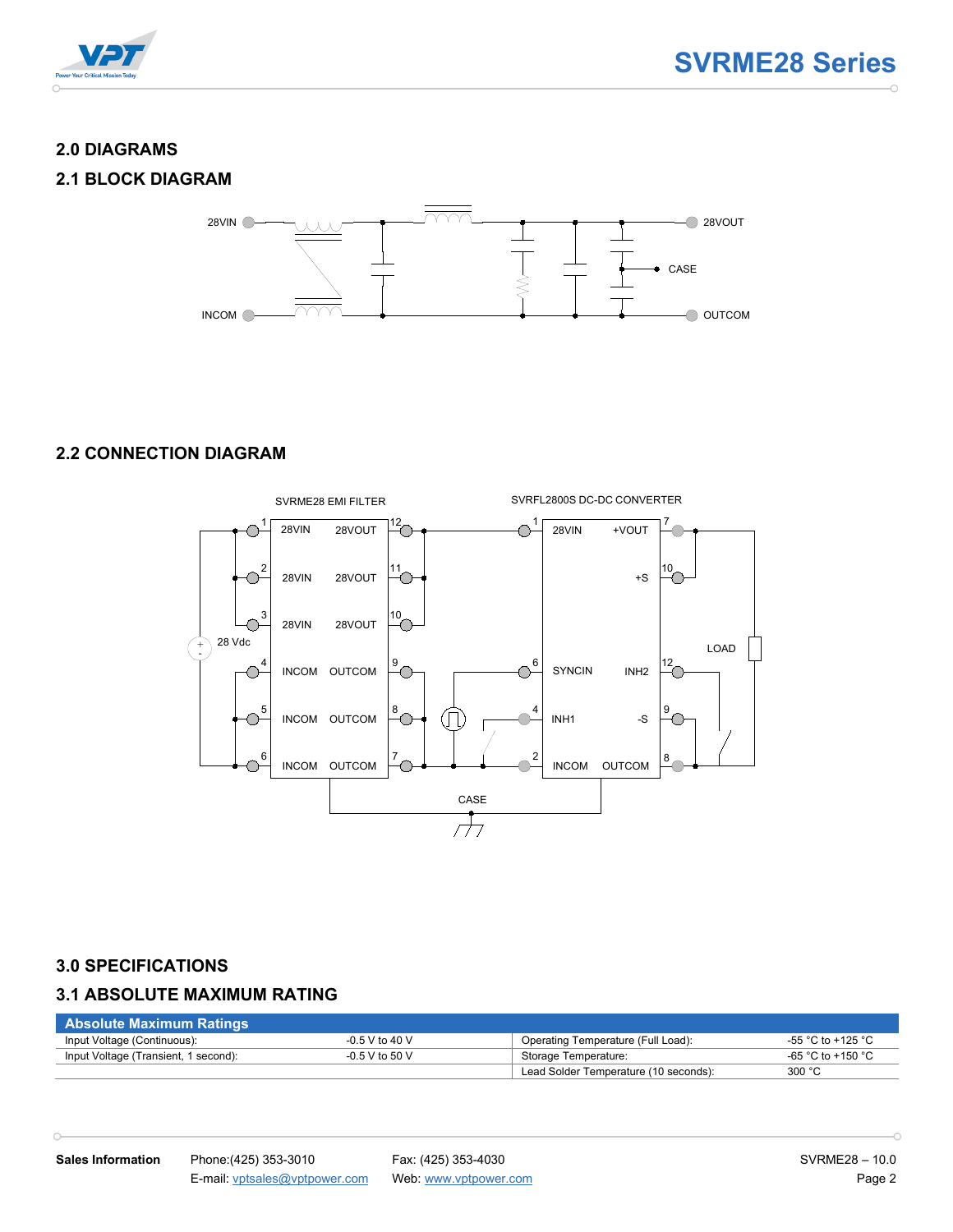

#### **2.0 DIAGRAMS**

#### **2.1 BLOCK DIAGRAM**



#### **2.2 CONNECTION DIAGRAM**



#### **3.0 SPECIFICATIONS**

 $\cap$ 

#### **3.1 ABSOLUTE MAXIMUM RATING**

| <b>Absolute Maximum Ratings</b>      |                  |                                       |                   |
|--------------------------------------|------------------|---------------------------------------|-------------------|
| Input Voltage (Continuous):          | $-0.5$ V to 40 V | Operating Temperature (Full Load):    | -55 °C to +125 °C |
| Input Voltage (Transient, 1 second): | $-0.5$ V to 50 V | Storage Temperature:                  | -65 °C to +150 °C |
|                                      |                  | Lead Solder Temperature (10 seconds): | 300 °C            |

 $\overline{\phantom{0}}$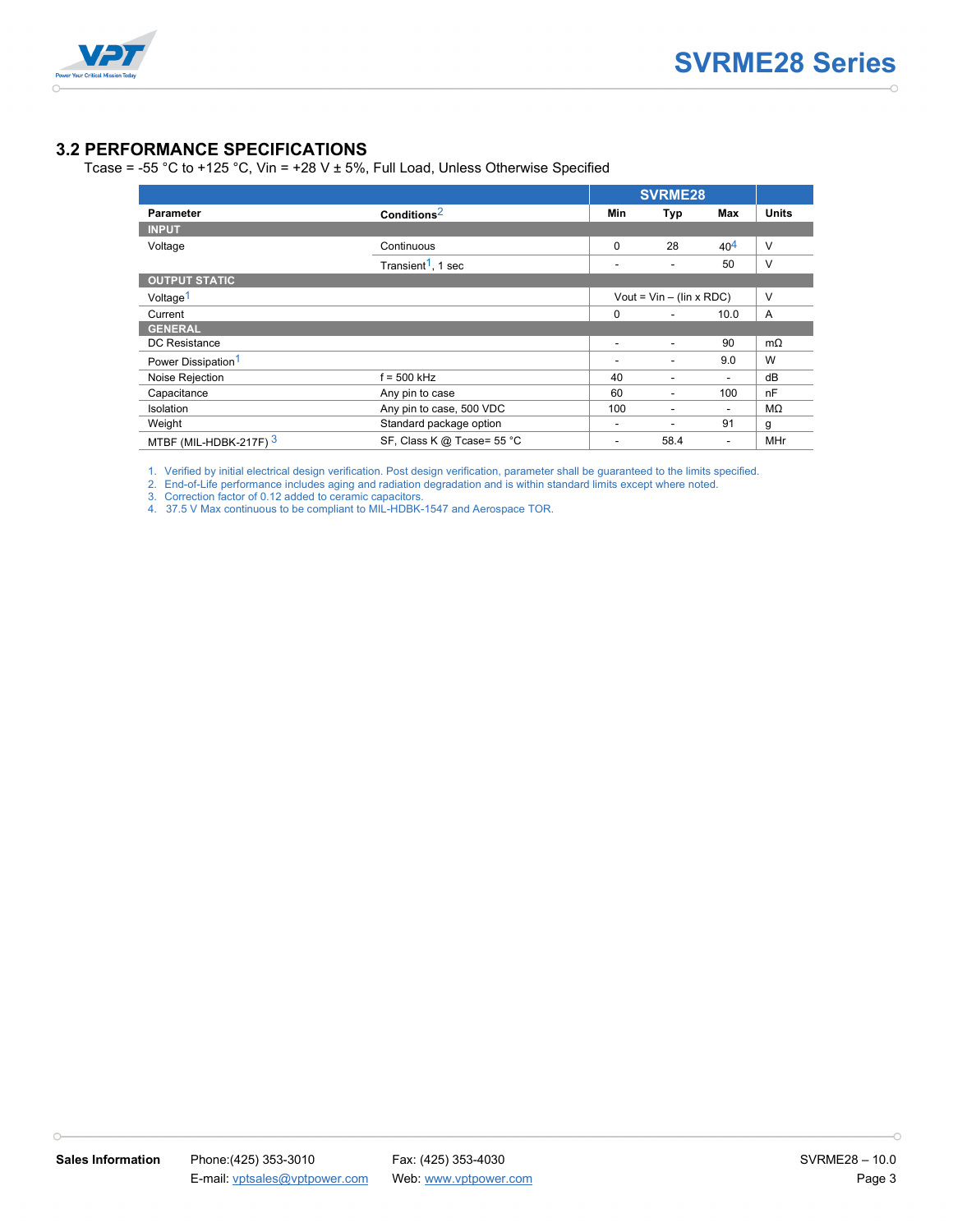

#### **3.2 PERFORMANCE SPECIFICATIONS**

Tcase = -55 °C to +125 °C, Vin = +28 V  $\pm$  5%, Full Load, Unless Otherwise Specified

|                                |                                |          | <b>SVRME28</b>                  |                          |                |
|--------------------------------|--------------------------------|----------|---------------------------------|--------------------------|----------------|
| <b>Parameter</b>               | Conditions <sup>2</sup>        | Min      | Typ                             | Max                      | <b>Units</b>   |
| <b>INPUT</b>                   |                                |          |                                 |                          |                |
| Voltage                        | Continuous                     | $\Omega$ | 28                              | $40^{4}$                 | $\vee$         |
|                                | Transient <sup>1</sup> , 1 sec | ٠        | ٠                               | 50                       | $\vee$         |
| <b>OUTPUT STATIC</b>           |                                |          |                                 |                          |                |
| Voltage <sup>1</sup>           |                                |          | Vout = $Vin - (lin \times RDC)$ |                          | $\vee$         |
| Current                        |                                | $\Omega$ |                                 | 10.0                     | $\overline{A}$ |
| <b>GENERAL</b>                 |                                |          |                                 |                          |                |
| <b>DC</b> Resistance           |                                | ٠        | $\overline{\phantom{a}}$        | 90                       | $m\Omega$      |
| Power Dissipation <sup>1</sup> |                                |          |                                 | 9.0                      | W              |
| Noise Rejection                | $f = 500$ kHz                  | 40       | -                               | $\overline{\phantom{0}}$ | dB             |
| Capacitance                    | Any pin to case                | 60       | ٠                               | 100                      | nF             |
| Isolation                      | Any pin to case, 500 VDC       | 100      |                                 | $\overline{\phantom{0}}$ | MΩ             |
| Weight                         | Standard package option        | -        |                                 | 91                       | g              |
| MTBF (MIL-HDBK-217F) $3$       | SF, Class K @ Tcase= 55 °C     |          | 58.4                            | $\overline{\phantom{a}}$ | MHr            |

1. Verified by initial electrical design verification. Post design verification, parameter shall be guaranteed to the limits specified.

2. End-of-Life performance includes aging and radiation degradation and is within standard limits except where noted.

3. Correction factor of 0.12 added to ceramic capacitors.

4. 37.5 V Max continuous to be compliant to MIL-HDBK-1547 and Aerospace TOR.

 $\cap$ 

 $\overline{\phantom{0}}$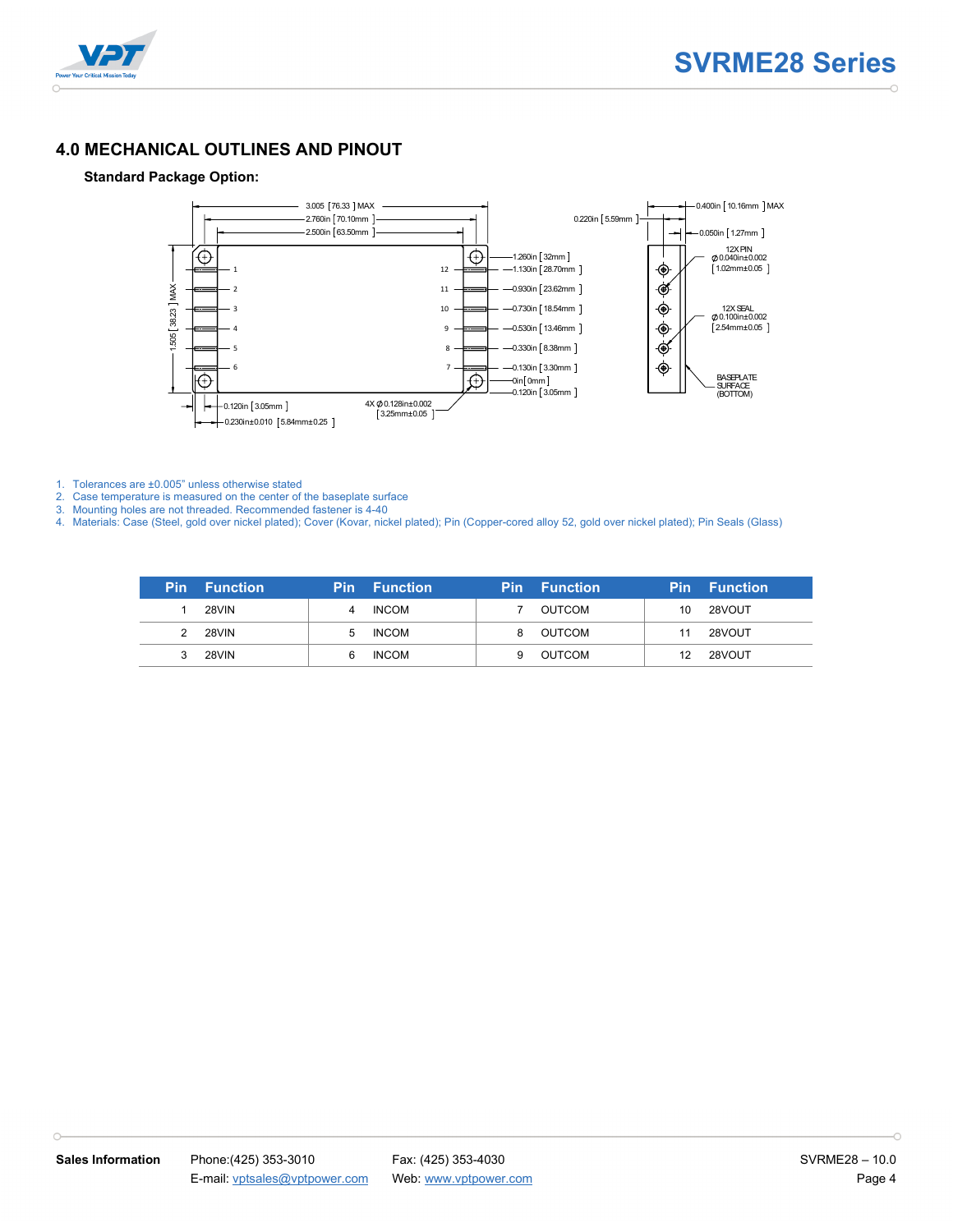



#### **4.0 MECHANICAL OUTLINES AND PINOUT**

#### **Standard Package Option:**



1. Tolerances are ±0.005" unless otherwise stated

 $\cap$ 

2. Case temperature is measured on the center of the baseplate surface

3. Mounting holes are not threaded. Recommended fastener is 4-40

4. Materials: Case (Steel, gold over nickel plated); Cover (Kovar, nickel plated); Pin (Copper-cored alloy 52, gold over nickel plated); Pin Seals (Glass)

| <b>Pin</b> Function |    | Pin Function <b>P</b> | Pin. | <b>Function</b> |    | <b>Pin</b> Function |
|---------------------|----|-----------------------|------|-----------------|----|---------------------|
| <b>28VIN</b>        | 4  | <b>INCOM</b>          |      | OUTCOM          | 10 | 28VOUT              |
| 28VIN               | b. | <b>INCOM</b>          | 8    | OUTCOM          | 11 | 28VOUT              |
| <b>28VIN</b>        |    | <b>INCOM</b>          |      | OUTCOM          | 12 | 28VOUT              |

h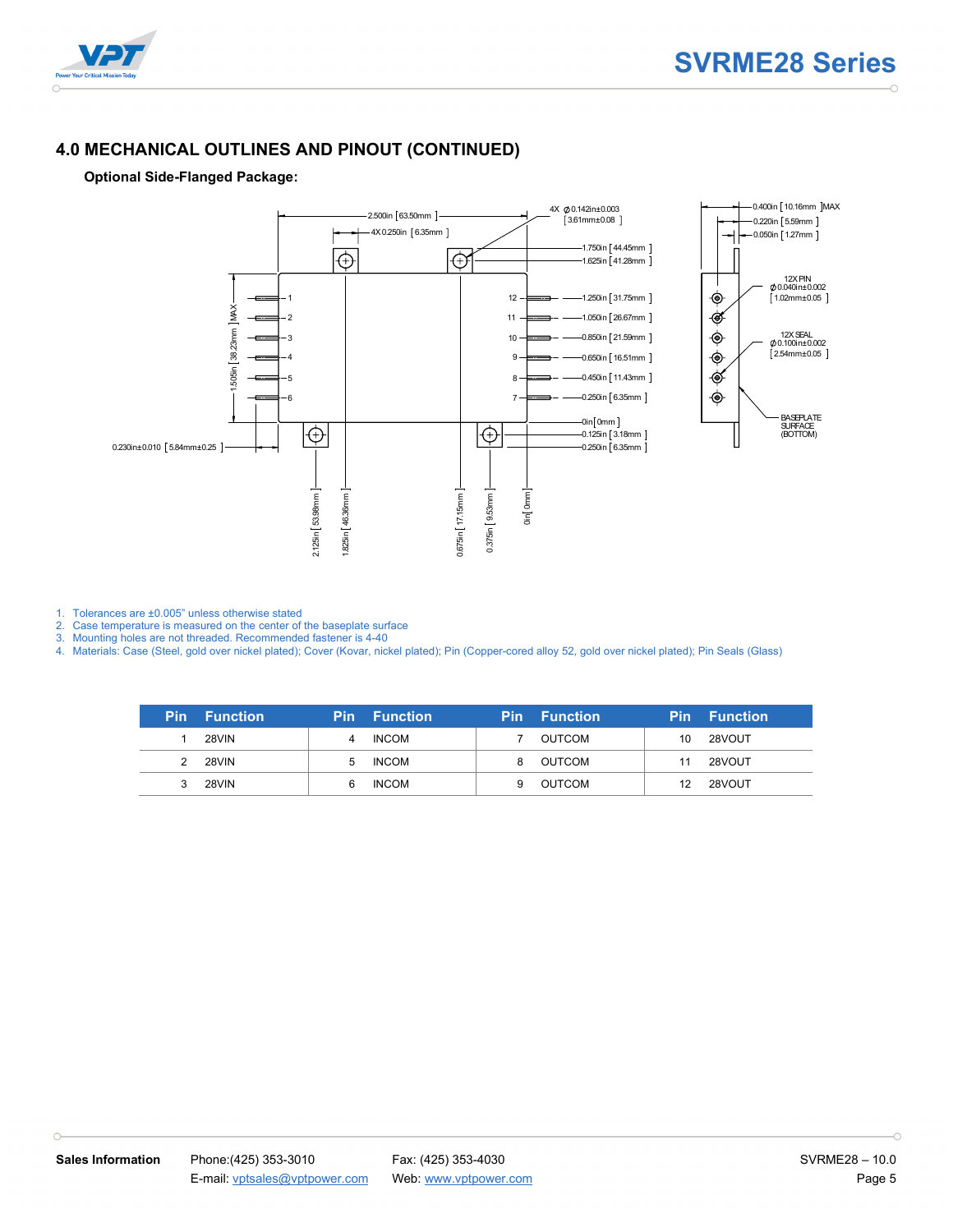

#### **4.0 MECHANICAL OUTLINES AND PINOUT (CONTINUED)**

#### **Optional Side-Flanged Package:**



1. Tolerances are ±0.005" unless otherwise stated

 $\cap$ 

2. Case temperature is measured on the center of the baseplate surface

3. Mounting holes are not threaded. Recommended fastener is 4-40

4. Materials: Case (Steel, gold over nickel plated); Cover (Kovar, nickel plated); Pin (Copper-cored alloy 52, gold over nickel plated); Pin Seals (Glass)

| <b>Pin</b> Function |     | <b>Pin</b> Function |   | <b>Pin</b> Function |    | <b>Pin Function</b> |
|---------------------|-----|---------------------|---|---------------------|----|---------------------|
| 28VIN               |     | <b>INCOM</b>        |   | OUTCOM              | 10 | 28VOUT              |
| 28VIN               | 'n. | <b>INCOM</b>        | 8 | OUTCOM              | 11 | 28VOUT              |
| 28VIN               |     | <b>INCOM</b>        |   | OUTCOM              |    | 28VOUT              |

 $\cap$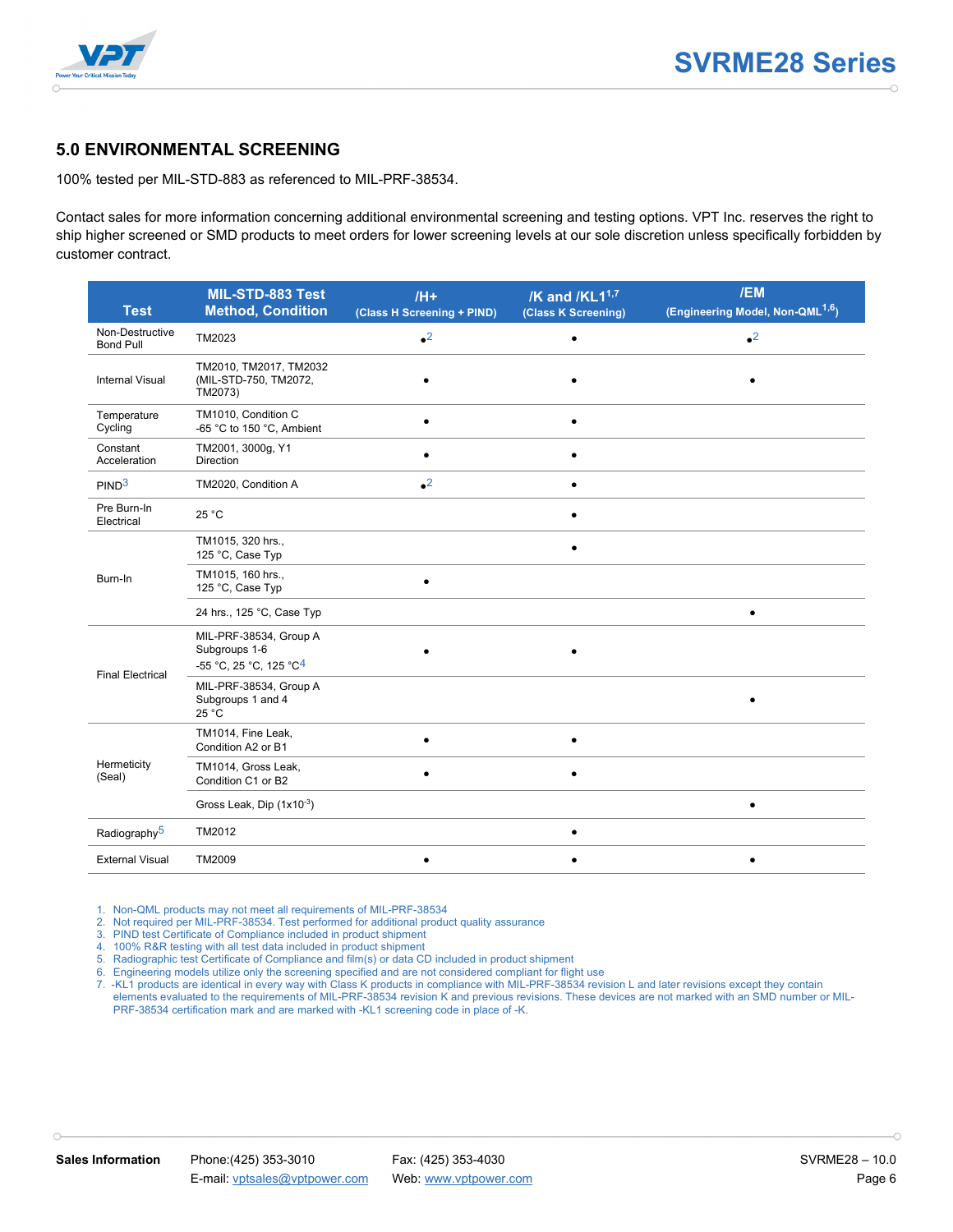

#### **5.0 ENVIRONMENTAL SCREENING**

100% tested per MIL-STD-883 as referenced to MIL-PRF-38534.

Contact sales for more information concerning additional environmental screening and testing options. VPT Inc. reserves the right to ship higher screened or SMD products to meet orders for lower screening levels at our sole discretion unless specifically forbidden by customer contract.

| <b>Test</b>                         | MIL-STD-883 Test<br><b>Method, Condition</b>                                  | $/H+$<br>(Class H Screening + PIND) | /K and /KL1 <sup>1,7</sup><br>(Class K Screening) | /EM<br>(Engineering Model, Non-QML <sup>1,6</sup> ) |
|-------------------------------------|-------------------------------------------------------------------------------|-------------------------------------|---------------------------------------------------|-----------------------------------------------------|
| Non-Destructive<br><b>Bond Pull</b> | TM2023                                                                        | $^2$                                |                                                   | $\bullet^2$                                         |
| <b>Internal Visual</b>              | TM2010, TM2017, TM2032<br>(MIL-STD-750, TM2072,<br>TM2073)                    |                                     |                                                   |                                                     |
| Temperature<br>Cycling              | TM1010, Condition C<br>-65 °C to 150 °C, Ambient                              | $\bullet$                           |                                                   |                                                     |
| Constant<br>Acceleration            | TM2001, 3000g, Y1<br><b>Direction</b>                                         | $\bullet$                           |                                                   |                                                     |
| PIND <sup>3</sup>                   | TM2020, Condition A                                                           | $^{\bullet2}$                       |                                                   |                                                     |
| Pre Burn-In<br>Electrical           | 25 °C                                                                         |                                     |                                                   |                                                     |
|                                     | TM1015, 320 hrs.,<br>125 °C, Case Typ                                         |                                     |                                                   |                                                     |
| Burn-In                             | TM1015, 160 hrs.,<br>125 °C, Case Typ                                         | $\bullet$                           |                                                   |                                                     |
|                                     | 24 hrs., 125 °C, Case Typ                                                     |                                     |                                                   | ٠                                                   |
| <b>Final Electrical</b>             | MIL-PRF-38534, Group A<br>Subgroups 1-6<br>-55 °C, 25 °C, 125 °C <sup>4</sup> |                                     |                                                   |                                                     |
|                                     | MIL-PRF-38534, Group A<br>Subgroups 1 and 4<br>25 °C                          |                                     |                                                   |                                                     |
|                                     | TM1014, Fine Leak,<br>Condition A2 or B1                                      | $\bullet$                           | $\bullet$                                         |                                                     |
| Hermeticity<br>(Seal)               | TM1014, Gross Leak,<br>Condition C1 or B2                                     | $\bullet$                           | $\bullet$                                         |                                                     |
|                                     | Gross Leak, Dip (1x10-3)                                                      |                                     |                                                   | $\bullet$                                           |
| Radiography <sup>5</sup>            | TM2012                                                                        |                                     |                                                   |                                                     |
| <b>External Visual</b>              | TM2009                                                                        | $\bullet$                           |                                                   | $\bullet$                                           |

1. Non-QML products may not meet all requirements of MIL-PRF-38534

- 2. Not required per MIL-PRF-38534. Test performed for additional product quality assurance
- 3. PIND test Certificate of Compliance included in product shipment

4. 100% R&R testing with all test data included in product shipment

5. Radiographic test Certificate of Compliance and film(s) or data CD included in product shipment

6. Engineering models utilize only the screening specified and are not considered compliant for flight use

7. -KL1 products are identical in every way with Class K products in compliance with MIL-PRF-38534 revision L and later revisions except they contain elements evaluated to the requirements of MIL-PRF-38534 revision K and previous revisions. These devices are not marked with an SMD number or MIL-PRF-38534 certification mark and are marked with -KL1 screening code in place of -K.

 $\cap$ 

h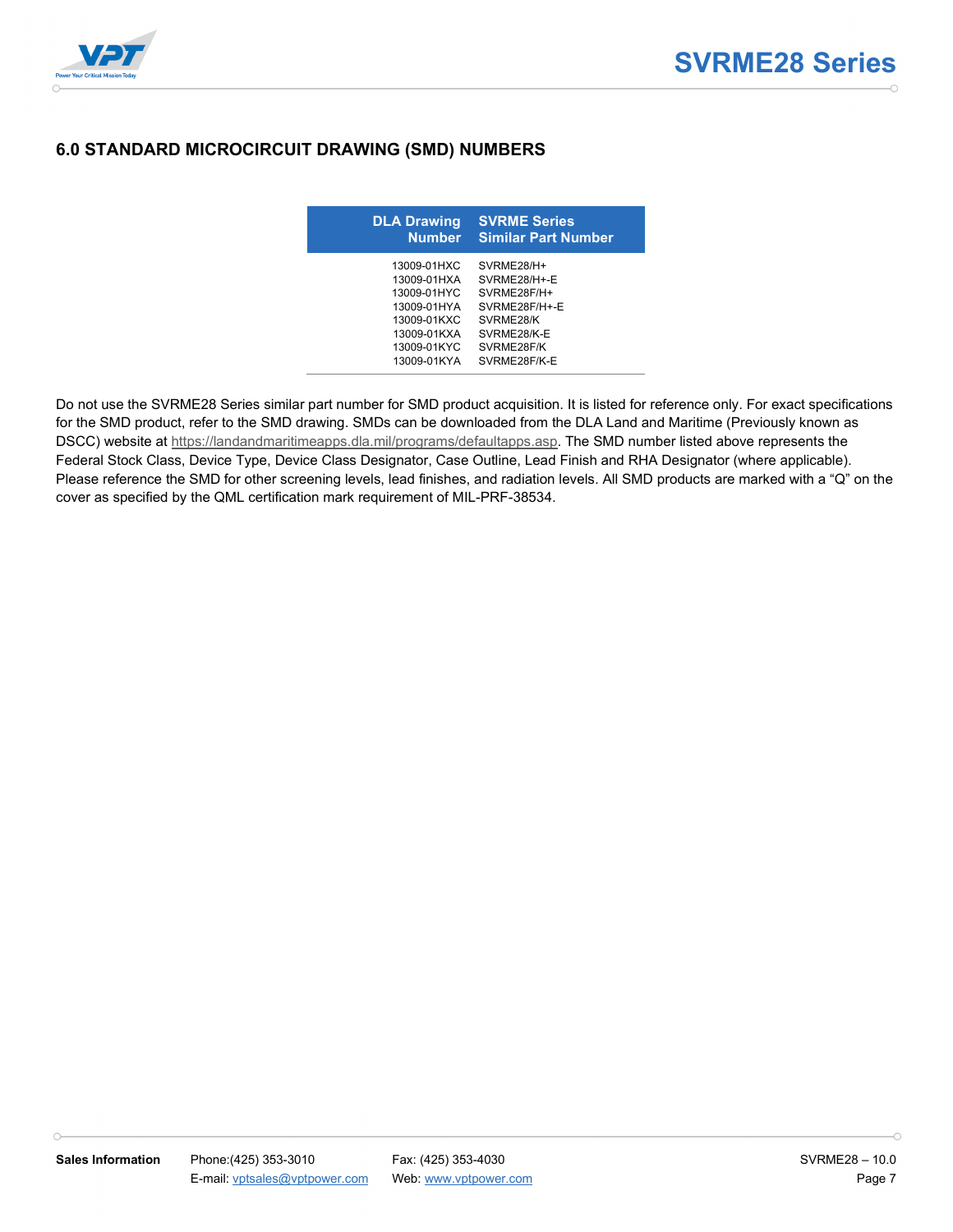

### **6.0 STANDARD MICROCIRCUIT DRAWING (SMD) NUMBERS**

| <b>DLA Drawing</b><br><b>Number</b>                                                                                  | <b>SVRME Series</b><br><b>Similar Part Number</b>                                                                    |
|----------------------------------------------------------------------------------------------------------------------|----------------------------------------------------------------------------------------------------------------------|
| 13009-01HXC<br>13009-01HXA<br>13009-01HYC<br>13009-01HYA<br>13009-01KXC<br>13009-01KXA<br>13009-01KYC<br>13009-01KYA | SVRMF28/H+<br>SVRMF28/H+-F<br>SVRME28F/H+<br>SVRME28F/H+-E<br>SVRME28/K<br>SVRME28/K-E<br>SVRME28F/K<br>SVRMF28F/K-F |

Do not use the SVRME28 Series similar part number for SMD product acquisition. It is listed for reference only. For exact specifications for the SMD product, refer to the SMD drawing. SMDs can be downloaded from the DLA Land and Maritime (Previously known as DSCC) website at [https://landandmaritimeapps.dla.mil/programs/defaultapps.asp.](https://landandmaritimeapps.dla.mil/programs/defaultapps.asp) The SMD number listed above represents the Federal Stock Class, Device Type, Device Class Designator, Case Outline, Lead Finish and RHA Designator (where applicable). Please reference the SMD for other screening levels, lead finishes, and radiation levels. All SMD products are marked with a "Q" on the cover as specified by the QML certification mark requirement of MIL-PRF-38534.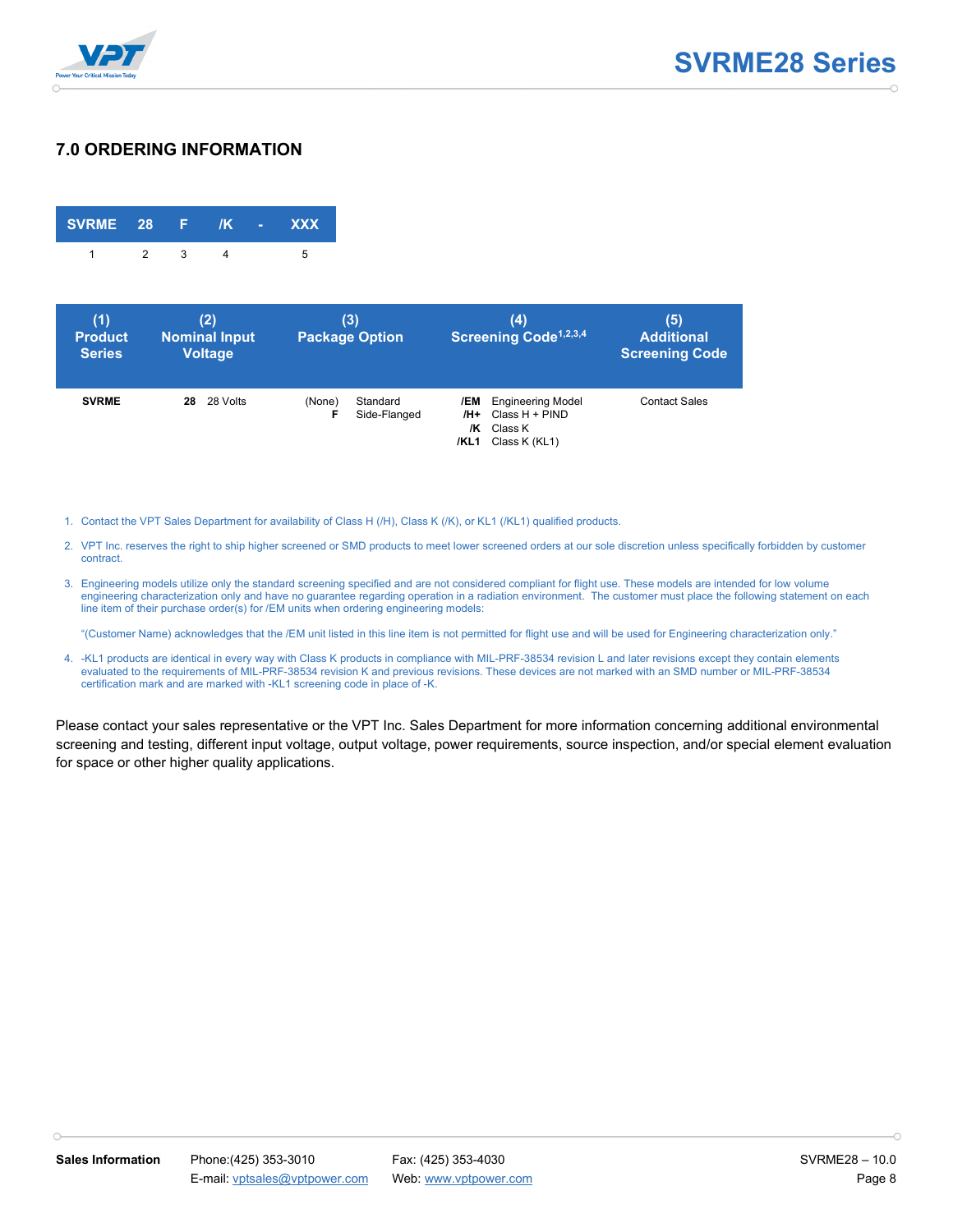

#### **7.0 ORDERING INFORMATION**

| SVRME 28 F /K - XXX |              |  |   |
|---------------------|--------------|--|---|
|                     | $\mathbf{R}$ |  | h |

| (1)<br><b>Product</b><br><b>Series</b> | (2)<br><b>Nominal Input</b><br><b>Voltage</b> | (3)<br><b>Package Option</b>            | (4)<br>Screening Code <sup>1,2,3,4</sup>                                                             | (5)<br><b>Additional</b><br><b>Screening Code</b> |
|----------------------------------------|-----------------------------------------------|-----------------------------------------|------------------------------------------------------------------------------------------------------|---------------------------------------------------|
| <b>SVRME</b>                           | 28 Volts<br>28                                | Standard<br>(None)<br>F<br>Side-Flanged | <b>Engineering Model</b><br>/EM<br>$Class H + PIND$<br>/H+<br>Class K<br>/K<br>Class K (KL1)<br>/KL1 | <b>Contact Sales</b>                              |

1. Contact the VPT Sales Department for availability of Class H (/H), Class K (/K), or KL1 (/KL1) qualified products.

- 2. VPT Inc. reserves the right to ship higher screened or SMD products to meet lower screened orders at our sole discretion unless specifically forbidden by customer contract.
- 3. Engineering models utilize only the standard screening specified and are not considered compliant for flight use. These models are intended for low volume engineering characterization only and have no guarantee regarding operation in a radiation environment. The customer must place the following statement on each line item of their purchase order(s) for /EM units when ordering engineering models:

"(Customer Name) acknowledges that the /EM unit listed in this line item is not permitted for flight use and will be used for Engineering characterization only."

4. -KL1 products are identical in every way with Class K products in compliance with MIL-PRF-38534 revision L and later revisions except they contain elements evaluated to the requirements of MIL-PRF-38534 revision K and previous revisions. These devices are not marked with an SMD number or MIL-PRF-38534 certification mark and are marked with -KL1 screening code in place of -K.

Please contact your sales representative or the VPT Inc. Sales Department for more information concerning additional environmental screening and testing, different input voltage, output voltage, power requirements, source inspection, and/or special element evaluation for space or other higher quality applications.

h